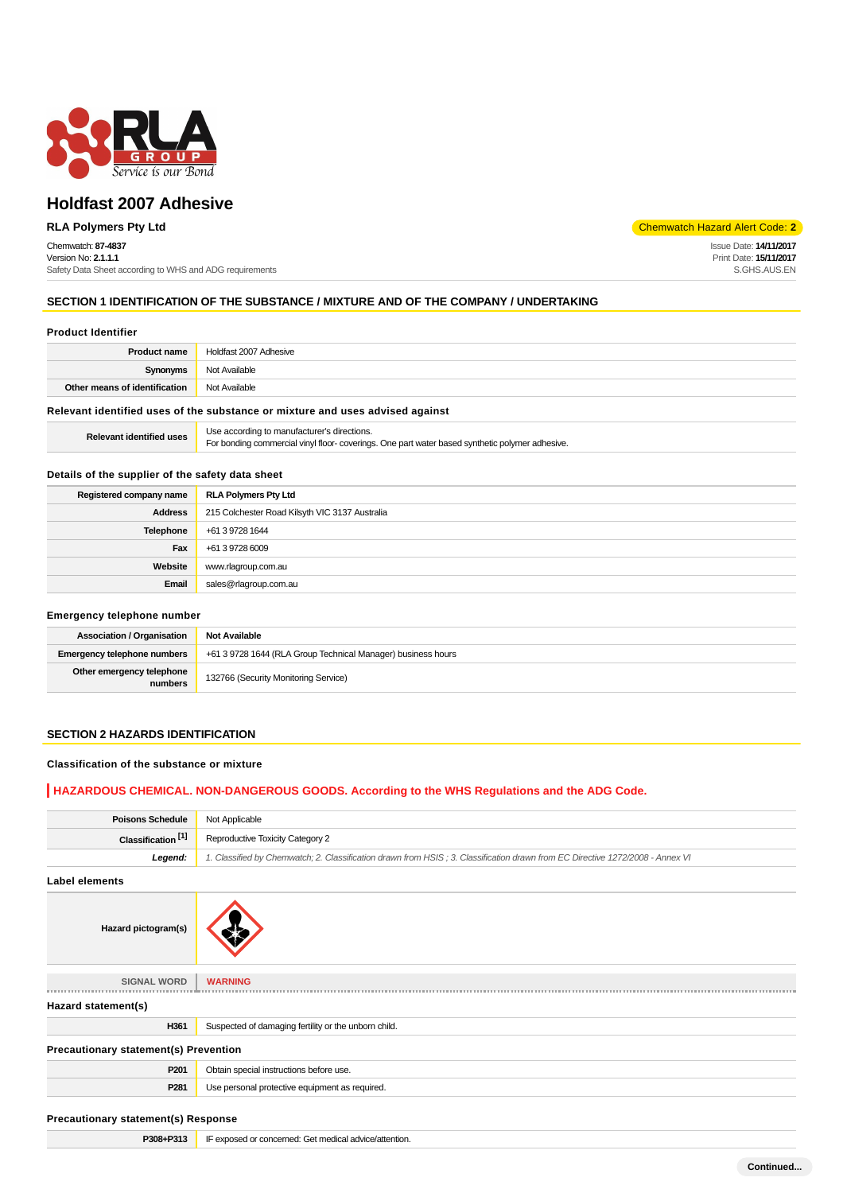

# **Holdfast 2007 Adhesive**

Chemwatch: **87-4837** Version No: **2.1.1.1** Safety Data Sheet according to WHS and ADG requirements

**RLA Polymers Pty Ltd** Chemwatch Hazard Alert Code: **2** 

Issue Date: **14/11/2017** Print Date: **15/11/2017** S.GHS.AUS.EN

# **SECTION 1 IDENTIFICATION OF THE SUBSTANCE / MIXTURE AND OF THE COMPANY / UNDERTAKING**

### **Product Identifier**

| <b>Product name</b>                                                           | Holdfast 2007 Adhesive |  |
|-------------------------------------------------------------------------------|------------------------|--|
| Synonyms                                                                      | Not Available          |  |
| Other means of identification                                                 | Not Available          |  |
| Relevant identified uses of the substance or mixture and uses advised against |                        |  |

### **Relevant identified uses** Use according to manufacturer's directions. For bonding commercial vinyl floor- coverings. One part water based synthetic polymer adhesive.

### **Details of the supplier of the safety data sheet**

| Registered company name | <b>RLA Polymers Pty Ltd</b>                    |
|-------------------------|------------------------------------------------|
| <b>Address</b>          | 215 Colchester Road Kilsyth VIC 3137 Australia |
| Telephone               | +61 3 9728 1644                                |
| Fax                     | +61 3 9728 6009                                |
| Website                 | www.rlagroup.com.au                            |
| Email                   | sales@rlagroup.com.au                          |

### **Emergency telephone number**

| <b>Association / Organisation</b>    | <b>Not Available</b>                                         |
|--------------------------------------|--------------------------------------------------------------|
| <b>Emergency telephone numbers</b>   | +61 3 9728 1644 (RLA Group Technical Manager) business hours |
| Other emergency telephone<br>numbers | 132766 (Security Monitoring Service)                         |

# **SECTION 2 HAZARDS IDENTIFICATION**

### **Classification of the substance or mixture**

### **HAZARDOUS CHEMICAL. NON-DANGEROUS GOODS. According to the WHS Regulations and the ADG Code.**

| <b>Poisons Schedule</b>                      | Not Applicable                                                                                                                |
|----------------------------------------------|-------------------------------------------------------------------------------------------------------------------------------|
| Classification <sup>[1]</sup>                | Reproductive Toxicity Category 2                                                                                              |
| Legend:                                      | 1. Classified by Chemwatch; 2. Classification drawn from HSIS; 3. Classification drawn from EC Directive 1272/2008 - Annex VI |
| <b>Label elements</b>                        |                                                                                                                               |
| Hazard pictogram(s)                          |                                                                                                                               |
| <b>SIGNAL WORD</b>                           | <b>WARNING</b>                                                                                                                |
| Hazard statement(s)                          |                                                                                                                               |
| H361                                         | Suspected of damaging fertility or the unborn child.                                                                          |
| <b>Precautionary statement(s) Prevention</b> |                                                                                                                               |
| P201                                         | Obtain special instructions before use.                                                                                       |
| P <sub>281</sub>                             | Use personal protective equipment as required.                                                                                |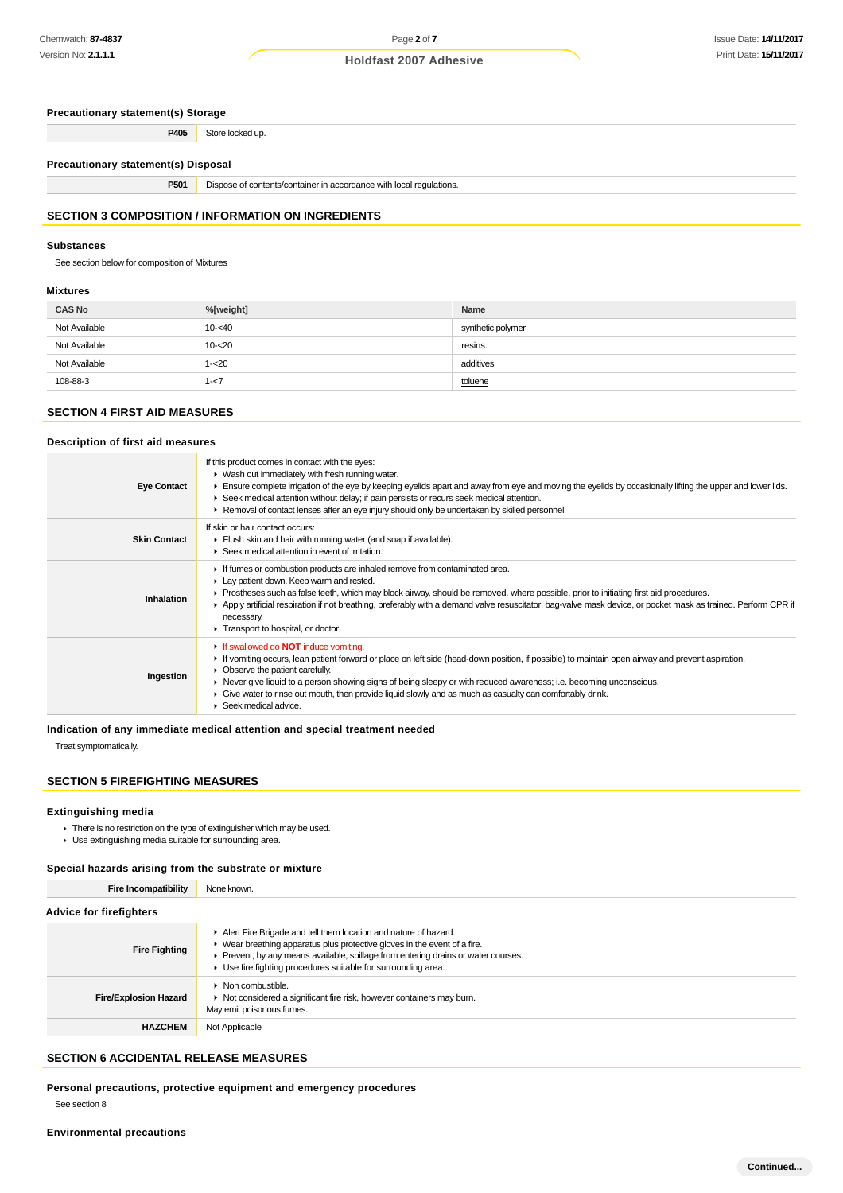**Precautionary statement(s) Storage P405** Store locked up.

**Precautionary statement(s) Disposal**

**P501** Dispose of contents/container in accordance with local regulations.

# **SECTION 3 COMPOSITION / INFORMATION ON INGREDIENTS**

# **Substances**

See section below for composition of Mixtures

# **Mixtures**

| <b>CAS No</b> | %[weight] | Name              |
|---------------|-----------|-------------------|
| Not Available | $10 - 40$ | synthetic polymer |
| Not Available | $10 - 20$ | resins.           |
| Not Available | $1 - 20$  | additives         |
| 108-88-3      | $1 - 7$   | toluene           |

# **SECTION 4 FIRST AID MEASURES**

### **Description of first aid measures**

| <b>Eye Contact</b>  | If this product comes in contact with the eyes:<br>• Wash out immediately with fresh running water.<br>Ensure complete irrigation of the eye by keeping eyelids apart and away from eye and moving the eyelids by occasionally lifting the upper and lower lids.<br>► Seek medical attention without delay; if pain persists or recurs seek medical attention.<br>▶ Removal of contact lenses after an eye injury should only be undertaken by skilled personnel.                                                    |
|---------------------|----------------------------------------------------------------------------------------------------------------------------------------------------------------------------------------------------------------------------------------------------------------------------------------------------------------------------------------------------------------------------------------------------------------------------------------------------------------------------------------------------------------------|
| <b>Skin Contact</b> | If skin or hair contact occurs:<br>Flush skin and hair with running water (and soap if available).<br>$\blacktriangleright$ Seek medical attention in event of irritation.                                                                                                                                                                                                                                                                                                                                           |
| Inhalation          | If fumes or combustion products are inhaled remove from contaminated area.<br>Lay patient down. Keep warm and rested.<br>Prostheses such as false teeth, which may block airway, should be removed, where possible, prior to initiating first aid procedures.<br>▶ Apply artificial respiration if not breathing, preferably with a demand valve resuscitator, bag-valve mask device, or pocket mask as trained. Perform CPR if<br>necessary.<br>Transport to hospital, or doctor.                                   |
| Ingestion           | If swallowed do <b>NOT</b> induce vomiting.<br>If vomiting occurs, lean patient forward or place on left side (head-down position, if possible) to maintain open airway and prevent aspiration.<br>• Observe the patient carefully.<br>► Never give liquid to a person showing signs of being sleepy or with reduced awareness; i.e. becoming unconscious.<br>Give water to rinse out mouth, then provide liquid slowly and as much as casualty can comfortably drink.<br>$\blacktriangleright$ Seek medical advice. |

### **Indication of any immediate medical attention and special treatment needed**

Treat symptomatically.

# **SECTION 5 FIREFIGHTING MEASURES**

### **Extinguishing media**

- There is no restriction on the type of extinguisher which may be used.
- Use extinguishing media suitable for surrounding area.

### **Special hazards arising from the substrate or mixture**

**Fire Incompatibility** None known.

| <b>Advice for firefighters</b> |                                                                                                                                                                                                                                                                                                                       |  |
|--------------------------------|-----------------------------------------------------------------------------------------------------------------------------------------------------------------------------------------------------------------------------------------------------------------------------------------------------------------------|--|
| <b>Fire Fighting</b>           | Alert Fire Brigade and tell them location and nature of hazard.<br>$\blacktriangleright$ Wear breathing apparatus plus protective gloves in the event of a fire.<br>Prevent, by any means available, spillage from entering drains or water courses.<br>• Use fire fighting procedures suitable for surrounding area. |  |
| <b>Fire/Explosion Hazard</b>   | $\triangleright$ Non combustible.<br>• Not considered a significant fire risk, however containers may burn.<br>May emit poisonous fumes.                                                                                                                                                                              |  |
| <b>HAZCHEM</b>                 | Not Applicable                                                                                                                                                                                                                                                                                                        |  |

### **SECTION 6 ACCIDENTAL RELEASE MEASURES**

**Personal precautions, protective equipment and emergency procedures**

See section 8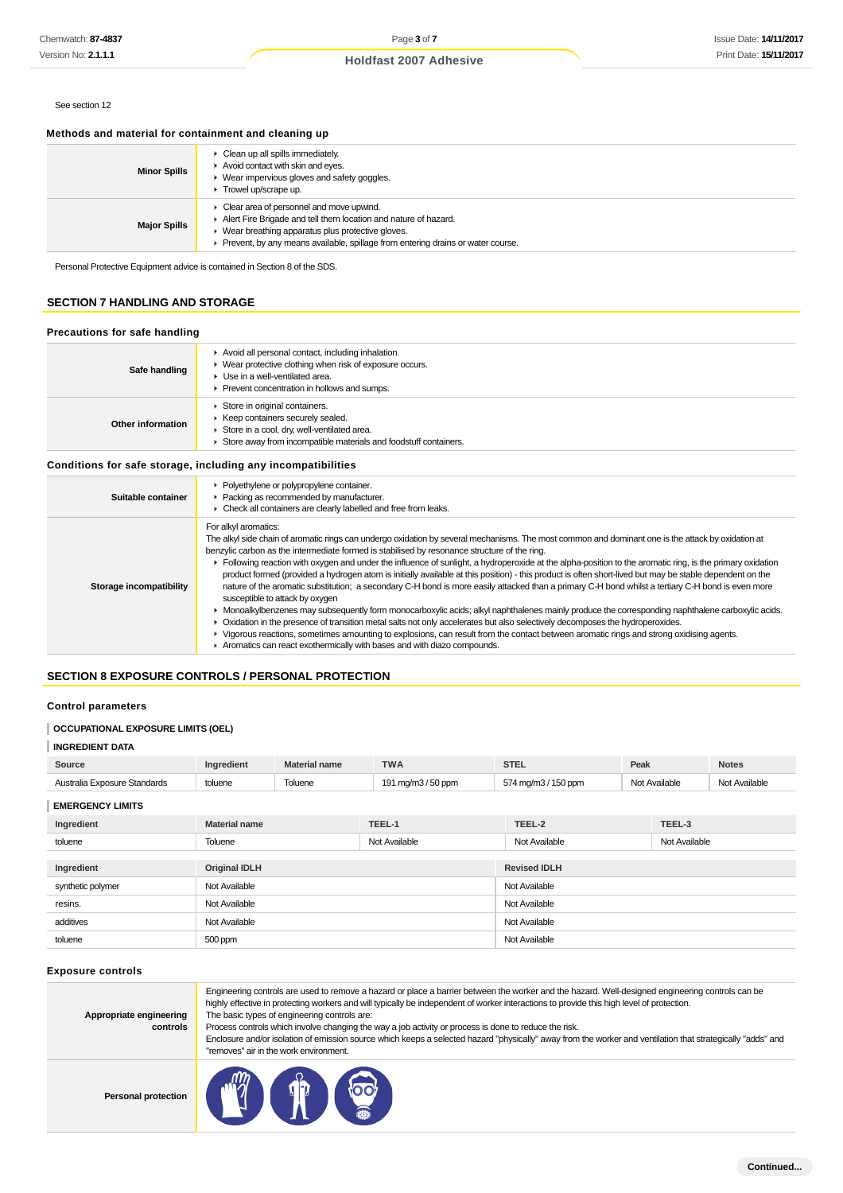# Page **3** of **7**

# **Holdfast 2007 Adhesive**

# See section 12

# **Methods and material for containment and cleaning up**

| <b>Minor Spills</b> | • Clean up all spills immediately.<br>Avoid contact with skin and eyes.<br>Wear impervious gloves and safety goggles.<br>Trowel up/scrape up.                                                                                                      |
|---------------------|----------------------------------------------------------------------------------------------------------------------------------------------------------------------------------------------------------------------------------------------------|
| <b>Major Spills</b> | Clear area of personnel and move upwind.<br>Alert Fire Brigade and tell them location and nature of hazard.<br>Wear breathing apparatus plus protective gloves.<br>Prevent, by any means available, spillage from entering drains or water course. |

# **SECTION 7 HANDLING AND STORAGE**

# **Precautions for safe handling**

| Safe handling     | Avoid all personal contact, including inhalation.<br>Wear protective clothing when risk of exposure occurs.<br>• Use in a well-ventilated area.<br>Prevent concentration in hollows and sumps. |
|-------------------|------------------------------------------------------------------------------------------------------------------------------------------------------------------------------------------------|
| Other information | Store in original containers.<br>Keep containers securely sealed.<br>Store in a cool, dry, well-ventilated area.<br>Store away from incompatible materials and foodstuff containers.           |

| Suitable container      | • Polyethylene or polypropylene container.<br>Packing as recommended by manufacturer.<br>• Check all containers are clearly labelled and free from leaks.                                                                                                                                                                                                                                                                                                                                                                                                                                                                                                                                                                                                                                                                                                                                                                                                                                                                                                                                                                                                                                                                                                                                                |
|-------------------------|----------------------------------------------------------------------------------------------------------------------------------------------------------------------------------------------------------------------------------------------------------------------------------------------------------------------------------------------------------------------------------------------------------------------------------------------------------------------------------------------------------------------------------------------------------------------------------------------------------------------------------------------------------------------------------------------------------------------------------------------------------------------------------------------------------------------------------------------------------------------------------------------------------------------------------------------------------------------------------------------------------------------------------------------------------------------------------------------------------------------------------------------------------------------------------------------------------------------------------------------------------------------------------------------------------|
| Storage incompatibility | For alkyl aromatics:<br>The alkyl side chain of aromatic rings can undergo oxidation by several mechanisms. The most common and dominant one is the attack by oxidation at<br>benzylic carbon as the intermediate formed is stabilised by resonance structure of the ring.<br>Following reaction with oxygen and under the influence of sunlight, a hydroperoxide at the alpha-position to the aromatic ring, is the primary oxidation<br>product formed (provided a hydrogen atom is initially available at this position) - this product is often short-lived but may be stable dependent on the<br>nature of the aromatic substitution; a secondary C-H bond is more easily attacked than a primary C-H bond whilst a tertiary C-H bond is even more<br>susceptible to attack by oxygen<br>> Monoalkylbenzenes may subsequently form monocarboxylic acids; alkyl naphthalenes mainly produce the corresponding naphthalene carboxylic acids.<br>• Oxidation in the presence of transition metal salts not only accelerates but also selectively decomposes the hydroperoxides.<br>► Vigorous reactions, sometimes amounting to explosions, can result from the contact between aromatic rings and strong oxidising agents.<br>Aromatics can react exothermically with bases and with diazo compounds. |

# **SECTION 8 EXPOSURE CONTROLS / PERSONAL PROTECTION**

### **Control parameters**

# **OCCUPATIONAL EXPOSURE LIMITS (OEL)**

### **INGREDIENT DATA**

| Chemwatch: <b>87-4837</b>                                                  |                                                                                                                                                                                                                                                                                                                                                                                                                                                                                                                                                                                                                                                                                                                                                                                                                                                                                                                                                                                                                                                                                                                                                                                                                                                                                    | Page 3 of 7                                                                                                                                                                                    |                                                                                                                                                    |                                                                                                                                                                                                                                                                                                                                                                                                                                                              | <b>Issue Date: 14/11/20</b> |                      |
|----------------------------------------------------------------------------|------------------------------------------------------------------------------------------------------------------------------------------------------------------------------------------------------------------------------------------------------------------------------------------------------------------------------------------------------------------------------------------------------------------------------------------------------------------------------------------------------------------------------------------------------------------------------------------------------------------------------------------------------------------------------------------------------------------------------------------------------------------------------------------------------------------------------------------------------------------------------------------------------------------------------------------------------------------------------------------------------------------------------------------------------------------------------------------------------------------------------------------------------------------------------------------------------------------------------------------------------------------------------------|------------------------------------------------------------------------------------------------------------------------------------------------------------------------------------------------|----------------------------------------------------------------------------------------------------------------------------------------------------|--------------------------------------------------------------------------------------------------------------------------------------------------------------------------------------------------------------------------------------------------------------------------------------------------------------------------------------------------------------------------------------------------------------------------------------------------------------|-----------------------------|----------------------|
| Version No: <b>2.1.1.1</b>                                                 |                                                                                                                                                                                                                                                                                                                                                                                                                                                                                                                                                                                                                                                                                                                                                                                                                                                                                                                                                                                                                                                                                                                                                                                                                                                                                    |                                                                                                                                                                                                | <b>Holdfast 2007 Adhesive</b>                                                                                                                      |                                                                                                                                                                                                                                                                                                                                                                                                                                                              |                             | Print Date: 15/11/20 |
|                                                                            |                                                                                                                                                                                                                                                                                                                                                                                                                                                                                                                                                                                                                                                                                                                                                                                                                                                                                                                                                                                                                                                                                                                                                                                                                                                                                    |                                                                                                                                                                                                |                                                                                                                                                    |                                                                                                                                                                                                                                                                                                                                                                                                                                                              |                             |                      |
| See section 12                                                             |                                                                                                                                                                                                                                                                                                                                                                                                                                                                                                                                                                                                                                                                                                                                                                                                                                                                                                                                                                                                                                                                                                                                                                                                                                                                                    |                                                                                                                                                                                                |                                                                                                                                                    |                                                                                                                                                                                                                                                                                                                                                                                                                                                              |                             |                      |
| Methods and material for containment and cleaning up                       |                                                                                                                                                                                                                                                                                                                                                                                                                                                                                                                                                                                                                                                                                                                                                                                                                                                                                                                                                                                                                                                                                                                                                                                                                                                                                    |                                                                                                                                                                                                |                                                                                                                                                    |                                                                                                                                                                                                                                                                                                                                                                                                                                                              |                             |                      |
|                                                                            |                                                                                                                                                                                                                                                                                                                                                                                                                                                                                                                                                                                                                                                                                                                                                                                                                                                                                                                                                                                                                                                                                                                                                                                                                                                                                    | Clean up all spills immediately.                                                                                                                                                               |                                                                                                                                                    |                                                                                                                                                                                                                                                                                                                                                                                                                                                              |                             |                      |
| <b>Minor Spills</b>                                                        | Trowel up/scrape up.                                                                                                                                                                                                                                                                                                                                                                                                                                                                                                                                                                                                                                                                                                                                                                                                                                                                                                                                                                                                                                                                                                                                                                                                                                                               | Avoid contact with skin and eyes.<br>▶ Wear impervious gloves and safety goggles.                                                                                                              |                                                                                                                                                    |                                                                                                                                                                                                                                                                                                                                                                                                                                                              |                             |                      |
|                                                                            |                                                                                                                                                                                                                                                                                                                                                                                                                                                                                                                                                                                                                                                                                                                                                                                                                                                                                                                                                                                                                                                                                                                                                                                                                                                                                    | Clear area of personnel and move upwind.                                                                                                                                                       |                                                                                                                                                    |                                                                                                                                                                                                                                                                                                                                                                                                                                                              |                             |                      |
| <b>Major Spills</b>                                                        |                                                                                                                                                                                                                                                                                                                                                                                                                                                                                                                                                                                                                                                                                                                                                                                                                                                                                                                                                                                                                                                                                                                                                                                                                                                                                    | ▶ Wear breathing apparatus plus protective gloves.                                                                                                                                             | Alert Fire Brigade and tell them location and nature of hazard.<br>Prevent, by any means available, spillage from entering drains or water course. |                                                                                                                                                                                                                                                                                                                                                                                                                                                              |                             |                      |
| Personal Protective Equipment advice is contained in Section 8 of the SDS. |                                                                                                                                                                                                                                                                                                                                                                                                                                                                                                                                                                                                                                                                                                                                                                                                                                                                                                                                                                                                                                                                                                                                                                                                                                                                                    |                                                                                                                                                                                                |                                                                                                                                                    |                                                                                                                                                                                                                                                                                                                                                                                                                                                              |                             |                      |
| <b>SECTION 7 HANDLING AND STORAGE</b>                                      |                                                                                                                                                                                                                                                                                                                                                                                                                                                                                                                                                                                                                                                                                                                                                                                                                                                                                                                                                                                                                                                                                                                                                                                                                                                                                    |                                                                                                                                                                                                |                                                                                                                                                    |                                                                                                                                                                                                                                                                                                                                                                                                                                                              |                             |                      |
| Precautions for safe handling                                              |                                                                                                                                                                                                                                                                                                                                                                                                                                                                                                                                                                                                                                                                                                                                                                                                                                                                                                                                                                                                                                                                                                                                                                                                                                                                                    |                                                                                                                                                                                                |                                                                                                                                                    |                                                                                                                                                                                                                                                                                                                                                                                                                                                              |                             |                      |
| Safe handling                                                              |                                                                                                                                                                                                                                                                                                                                                                                                                                                                                                                                                                                                                                                                                                                                                                                                                                                                                                                                                                                                                                                                                                                                                                                                                                                                                    | Avoid all personal contact, including inhalation.<br>▶ Wear protective clothing when risk of exposure occurs.<br>Use in a well-ventilated area.<br>Prevent concentration in hollows and sumps. |                                                                                                                                                    |                                                                                                                                                                                                                                                                                                                                                                                                                                                              |                             |                      |
| <b>Other information</b>                                                   |                                                                                                                                                                                                                                                                                                                                                                                                                                                                                                                                                                                                                                                                                                                                                                                                                                                                                                                                                                                                                                                                                                                                                                                                                                                                                    | Store in original containers.<br>▶ Keep containers securely sealed.<br>Store in a cool, dry, well-ventilated area.<br>Store away from incompatible materials and foodstuff containers.         |                                                                                                                                                    |                                                                                                                                                                                                                                                                                                                                                                                                                                                              |                             |                      |
| Conditions for safe storage, including any incompatibilities               |                                                                                                                                                                                                                                                                                                                                                                                                                                                                                                                                                                                                                                                                                                                                                                                                                                                                                                                                                                                                                                                                                                                                                                                                                                                                                    |                                                                                                                                                                                                |                                                                                                                                                    |                                                                                                                                                                                                                                                                                                                                                                                                                                                              |                             |                      |
|                                                                            |                                                                                                                                                                                                                                                                                                                                                                                                                                                                                                                                                                                                                                                                                                                                                                                                                                                                                                                                                                                                                                                                                                                                                                                                                                                                                    | • Polyethylene or polypropylene container.                                                                                                                                                     |                                                                                                                                                    |                                                                                                                                                                                                                                                                                                                                                                                                                                                              |                             |                      |
| Suitable container                                                         |                                                                                                                                                                                                                                                                                                                                                                                                                                                                                                                                                                                                                                                                                                                                                                                                                                                                                                                                                                                                                                                                                                                                                                                                                                                                                    | • Packing as recommended by manufacturer.<br>• Check all containers are clearly labelled and free from leaks.                                                                                  |                                                                                                                                                    |                                                                                                                                                                                                                                                                                                                                                                                                                                                              |                             |                      |
| Storage incompatibility                                                    | The alkyl side chain of aromatic rings can undergo oxidation by several mechanisms. The most common and dominant one is the attack by oxidation at<br>benzylic carbon as the intermediate formed is stabilised by resonance structure of the ring.<br>► Following reaction with oxygen and under the influence of sunlight, a hydroperoxide at the alpha-position to the aromatic ring, is the primary oxidation<br>product formed (provided a hydrogen atom is initially available at this position) - this product is often short-lived but may be stable dependent on the<br>nature of the aromatic substitution; a secondary C-H bond is more easily attacked than a primary C-H bond whilst a tertiary C-H bond is even more<br>susceptible to attack by oxygen<br>• Monoalkylbenzenes may subsequently form monocarboxylic acids; alkyl naphthalenes mainly produce the corresponding naphthalene carboxylic acids.<br>▶ Oxidation in the presence of transition metal salts not only accelerates but also selectively decomposes the hydroperoxides.<br>▶ Vigorous reactions, sometimes amounting to explosions, can result from the contact between aromatic rings and strong oxidising agents.<br>Aromatics can react exothermically with bases and with diazo compounds. |                                                                                                                                                                                                |                                                                                                                                                    |                                                                                                                                                                                                                                                                                                                                                                                                                                                              |                             |                      |
| <b>SECTION 8 EXPOSURE CONTROLS / PERSONAL PROTECTION</b>                   |                                                                                                                                                                                                                                                                                                                                                                                                                                                                                                                                                                                                                                                                                                                                                                                                                                                                                                                                                                                                                                                                                                                                                                                                                                                                                    |                                                                                                                                                                                                |                                                                                                                                                    |                                                                                                                                                                                                                                                                                                                                                                                                                                                              |                             |                      |
| <b>Control parameters</b>                                                  |                                                                                                                                                                                                                                                                                                                                                                                                                                                                                                                                                                                                                                                                                                                                                                                                                                                                                                                                                                                                                                                                                                                                                                                                                                                                                    |                                                                                                                                                                                                |                                                                                                                                                    |                                                                                                                                                                                                                                                                                                                                                                                                                                                              |                             |                      |
| <b>OCCUPATIONAL EXPOSURE LIMITS (OEL)</b>                                  |                                                                                                                                                                                                                                                                                                                                                                                                                                                                                                                                                                                                                                                                                                                                                                                                                                                                                                                                                                                                                                                                                                                                                                                                                                                                                    |                                                                                                                                                                                                |                                                                                                                                                    |                                                                                                                                                                                                                                                                                                                                                                                                                                                              |                             |                      |
| <b>INGREDIENT DATA</b>                                                     |                                                                                                                                                                                                                                                                                                                                                                                                                                                                                                                                                                                                                                                                                                                                                                                                                                                                                                                                                                                                                                                                                                                                                                                                                                                                                    |                                                                                                                                                                                                |                                                                                                                                                    |                                                                                                                                                                                                                                                                                                                                                                                                                                                              |                             |                      |
| Source                                                                     | Ingredient                                                                                                                                                                                                                                                                                                                                                                                                                                                                                                                                                                                                                                                                                                                                                                                                                                                                                                                                                                                                                                                                                                                                                                                                                                                                         | <b>Material name</b>                                                                                                                                                                           | <b>TWA</b>                                                                                                                                         | <b>STEL</b>                                                                                                                                                                                                                                                                                                                                                                                                                                                  | Peak                        | <b>Notes</b>         |
| Australia Exposure Standards                                               | toluene                                                                                                                                                                                                                                                                                                                                                                                                                                                                                                                                                                                                                                                                                                                                                                                                                                                                                                                                                                                                                                                                                                                                                                                                                                                                            | Toluene                                                                                                                                                                                        | 191 mg/m3 / 50 ppm                                                                                                                                 | 574 mg/m3 / 150 ppm                                                                                                                                                                                                                                                                                                                                                                                                                                          | Not Available               | Not Available        |
| <b>EMERGENCY LIMITS</b>                                                    |                                                                                                                                                                                                                                                                                                                                                                                                                                                                                                                                                                                                                                                                                                                                                                                                                                                                                                                                                                                                                                                                                                                                                                                                                                                                                    |                                                                                                                                                                                                |                                                                                                                                                    |                                                                                                                                                                                                                                                                                                                                                                                                                                                              |                             |                      |
| Ingredient                                                                 | <b>Material name</b>                                                                                                                                                                                                                                                                                                                                                                                                                                                                                                                                                                                                                                                                                                                                                                                                                                                                                                                                                                                                                                                                                                                                                                                                                                                               |                                                                                                                                                                                                | TEEL-1                                                                                                                                             | TEEL-2                                                                                                                                                                                                                                                                                                                                                                                                                                                       | TEEL-3                      |                      |
| toluene                                                                    | Toluene                                                                                                                                                                                                                                                                                                                                                                                                                                                                                                                                                                                                                                                                                                                                                                                                                                                                                                                                                                                                                                                                                                                                                                                                                                                                            |                                                                                                                                                                                                | Not Available                                                                                                                                      | Not Available                                                                                                                                                                                                                                                                                                                                                                                                                                                | Not Available               |                      |
|                                                                            |                                                                                                                                                                                                                                                                                                                                                                                                                                                                                                                                                                                                                                                                                                                                                                                                                                                                                                                                                                                                                                                                                                                                                                                                                                                                                    |                                                                                                                                                                                                |                                                                                                                                                    | <b>Revised IDLH</b>                                                                                                                                                                                                                                                                                                                                                                                                                                          |                             |                      |
| Ingredient<br>synthetic polymer                                            | <b>Original IDLH</b><br>Not Available                                                                                                                                                                                                                                                                                                                                                                                                                                                                                                                                                                                                                                                                                                                                                                                                                                                                                                                                                                                                                                                                                                                                                                                                                                              |                                                                                                                                                                                                |                                                                                                                                                    | Not Available                                                                                                                                                                                                                                                                                                                                                                                                                                                |                             |                      |
| resins.                                                                    |                                                                                                                                                                                                                                                                                                                                                                                                                                                                                                                                                                                                                                                                                                                                                                                                                                                                                                                                                                                                                                                                                                                                                                                                                                                                                    |                                                                                                                                                                                                |                                                                                                                                                    | Not Available                                                                                                                                                                                                                                                                                                                                                                                                                                                |                             |                      |
| additives                                                                  | Not Available                                                                                                                                                                                                                                                                                                                                                                                                                                                                                                                                                                                                                                                                                                                                                                                                                                                                                                                                                                                                                                                                                                                                                                                                                                                                      |                                                                                                                                                                                                | Not Available                                                                                                                                      |                                                                                                                                                                                                                                                                                                                                                                                                                                                              |                             |                      |
| toluene                                                                    | Not Available<br>500 ppm                                                                                                                                                                                                                                                                                                                                                                                                                                                                                                                                                                                                                                                                                                                                                                                                                                                                                                                                                                                                                                                                                                                                                                                                                                                           |                                                                                                                                                                                                | Not Available                                                                                                                                      |                                                                                                                                                                                                                                                                                                                                                                                                                                                              |                             |                      |
|                                                                            |                                                                                                                                                                                                                                                                                                                                                                                                                                                                                                                                                                                                                                                                                                                                                                                                                                                                                                                                                                                                                                                                                                                                                                                                                                                                                    |                                                                                                                                                                                                |                                                                                                                                                    |                                                                                                                                                                                                                                                                                                                                                                                                                                                              |                             |                      |
| <b>Exposure controls</b>                                                   |                                                                                                                                                                                                                                                                                                                                                                                                                                                                                                                                                                                                                                                                                                                                                                                                                                                                                                                                                                                                                                                                                                                                                                                                                                                                                    |                                                                                                                                                                                                |                                                                                                                                                    |                                                                                                                                                                                                                                                                                                                                                                                                                                                              |                             |                      |
| Appropriate engineering<br>controls                                        |                                                                                                                                                                                                                                                                                                                                                                                                                                                                                                                                                                                                                                                                                                                                                                                                                                                                                                                                                                                                                                                                                                                                                                                                                                                                                    | The basic types of engineering controls are:<br>"removes" air in the work environment.                                                                                                         | Process controls which involve changing the way a job activity or process is done to reduce the risk.                                              | Engineering controls are used to remove a hazard or place a barrier between the worker and the hazard. Well-designed engineering controls can be<br>highly effective in protecting workers and will typically be independent of worker interactions to provide this high level of protection.<br>Enclosure and/or isolation of emission source which keeps a selected hazard "physically" away from the worker and ventilation that strategically "adds" and |                             |                      |
| <b>Personal protection</b>                                                 |                                                                                                                                                                                                                                                                                                                                                                                                                                                                                                                                                                                                                                                                                                                                                                                                                                                                                                                                                                                                                                                                                                                                                                                                                                                                                    |                                                                                                                                                                                                |                                                                                                                                                    |                                                                                                                                                                                                                                                                                                                                                                                                                                                              |                             |                      |

### **Exposure controls**

| Appropriate engineering<br>controls | Engineering controls are used to remove a hazard or place a barrier between the worker and the hazard. Well-designed engineering controls can be<br>highly effective in protecting workers and will typically be independent of worker interactions to provide this high level of protection.<br>The basic types of engineering controls are:<br>Process controls which involve changing the way a job activity or process is done to reduce the risk.<br>Enclosure and/or isolation of emission source which keeps a selected hazard "physically" away from the worker and ventilation that strategically "adds" and<br>"removes" air in the work environment. |  |  |
|-------------------------------------|-----------------------------------------------------------------------------------------------------------------------------------------------------------------------------------------------------------------------------------------------------------------------------------------------------------------------------------------------------------------------------------------------------------------------------------------------------------------------------------------------------------------------------------------------------------------------------------------------------------------------------------------------------------------|--|--|
| <b>Personal protection</b>          | <b>My of too</b>                                                                                                                                                                                                                                                                                                                                                                                                                                                                                                                                                                                                                                                |  |  |

**IL 、 ※**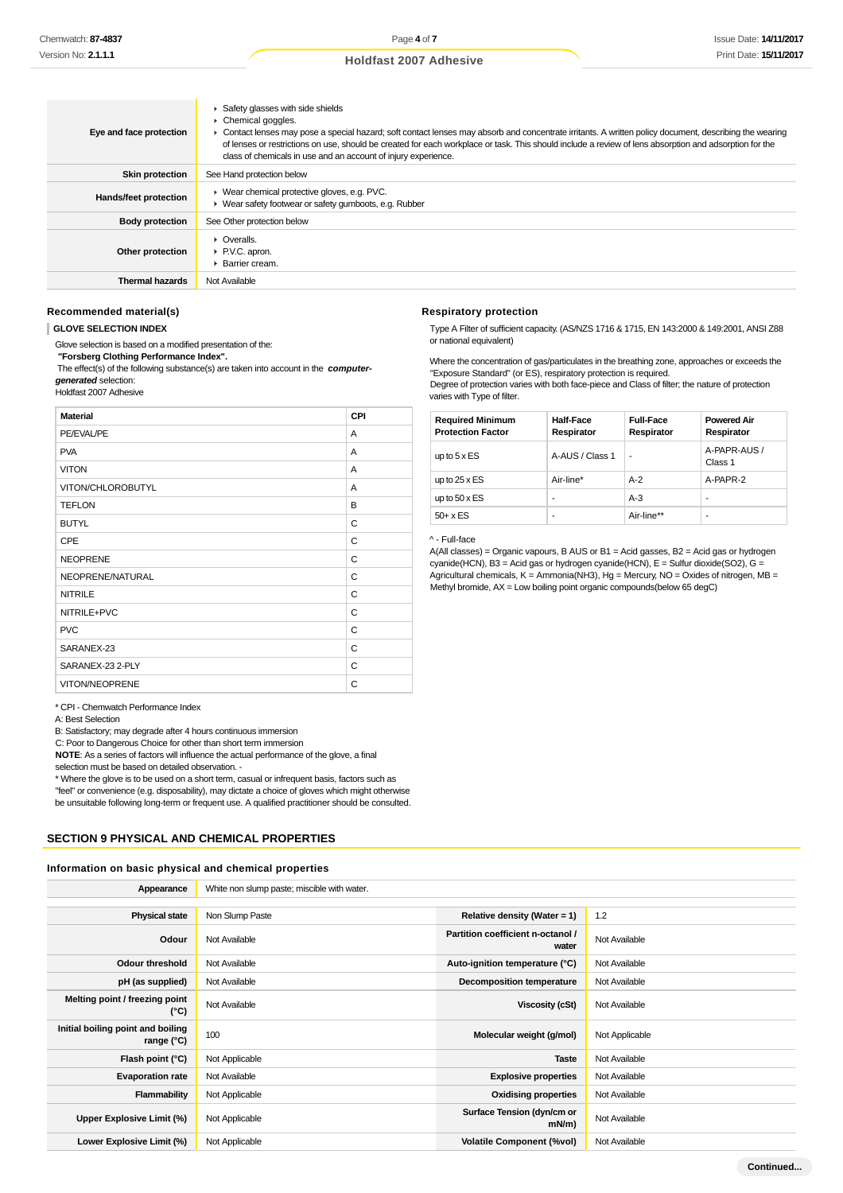| Eye and face protection | Safety glasses with side shields<br>Chemical goggles.<br>• Contact lenses may pose a special hazard; soft contact lenses may absorb and concentrate irritants. A written policy document, describing the wearing<br>of lenses or restrictions on use, should be created for each workplace or task. This should include a review of lens absorption and adsorption for the<br>class of chemicals in use and an account of injury experience. |
|-------------------------|----------------------------------------------------------------------------------------------------------------------------------------------------------------------------------------------------------------------------------------------------------------------------------------------------------------------------------------------------------------------------------------------------------------------------------------------|
| <b>Skin protection</b>  | See Hand protection below                                                                                                                                                                                                                                                                                                                                                                                                                    |
| Hands/feet protection   | ▶ Wear chemical protective gloves, e.g. PVC.<br>• Wear safety footwear or safety gumboots, e.g. Rubber                                                                                                                                                                                                                                                                                                                                       |
| <b>Body protection</b>  | See Other protection below                                                                                                                                                                                                                                                                                                                                                                                                                   |
| Other protection        | $\triangleright$ Overalls.<br>▶ P.V.C. apron.<br>▶ Barrier cream.                                                                                                                                                                                                                                                                                                                                                                            |
| <b>Thermal hazards</b>  | Not Available                                                                                                                                                                                                                                                                                                                                                                                                                                |

#### **Recommended material(s)**

#### **GLOVE SELECTION INDEX**

Glove selection is based on a modified presentation of the:

 **"Forsberg Clothing Performance Index".**

 The effect(s) of the following substance(s) are taken into account in the **computergenerated** selection:

Holdfast 2007 Adhesive

# **Material CPI** PE/EVAL/PE A PVA A VITON A PARTICIPATION A PARTICIPATION AND A PARTICIPATION AND A PARTICIPATION AND A PARTICIPATION OF A PARTICIPATION VITON/CHLOROBUTYL A TEFLON B BUTYL CONTROL CONTROL CONTROL CONTROL CONTROL CONTROL CONTROL CONTROL CONTROL CONTROL CONTROL CONTROL CONTROL CONTROL CONTROL CONTROL CONTROL CONTROL CONTROL CONTROL CONTROL CONTROL CONTROL CONTROL CONTROL CONTROL CONTROL CPE CPE NEOPRENE C NEOPRENE/NATURAL C NITRILE CONTROLLER CONTROLLER CONTROLLER CONTROLLER CONTROLLER CONTROLLER CONTROLLER CONTROLLER CONTROLLER CONTROLLER CONTROLLER CONTROLLER CONTROLLER CONTROLLER CONTROLLER CONTROLLER CONTROLLER CONTROLLER CONTROLLER CONTR NITRILE+PVC C PVC CONTROL CONTROL CONTROL CONTROL CONTROL CONTROL CONTROL CONTROL CONTROL CONTROL CONTROL CONTROL CONTROL CONTROL CONTROL CONTROL CONTROL CONTROL CONTROL CONTROL CONTROL CONTROL CONTROL CONTROL CONTROL CONTROL CONTROL CO SARANEX-23 SARANEX-23 2-PLY VITON/NEOPRENE CONTROL CONTROL CONTROL CONTROL CONTROL CONTROL CONTROL CONTROL CONTROL CONTROL CONTROL CONTROL CONTROL CONTROL CONTROL CONTROL CONTROL CONTROL CONTROL CONTROL CONTROL CONTROL CONTROL CONTROL CONTROL CONTROL

### **Respiratory protection**

Type A Filter of sufficient capacity. (AS/NZS 1716 & 1715, EN 143:2000 & 149:2001, ANSI Z88 or national equivalent)

Where the concentration of gas/particulates in the breathing zone, approaches or exceeds the "Exposure Standard" (or ES), respiratory protection is required. Degree of protection varies with both face-piece and Class of filter; the nature of protection varies with Type of filter.

| <b>Required Minimum</b><br><b>Protection Factor</b> | <b>Half-Face</b><br>Respirator | <b>Full-Face</b><br>Respirator | <b>Powered Air</b><br>Respirator |
|-----------------------------------------------------|--------------------------------|--------------------------------|----------------------------------|
| up to $5 \times ES$                                 | A-AUS / Class 1                |                                | A-PAPR-AUS /<br>Class 1          |
| up to $25 \times ES$                                | Air-line*                      | $A-2$                          | A-PAPR-2                         |
| up to $50 \times ES$                                |                                | $A-3$                          |                                  |
| $50+ x ES$                                          |                                | Air-line**                     | -                                |

^ - Full-face

A(All classes) = Organic vapours, B AUS or B1 = Acid gasses, B2 = Acid gas or hydrogen cyanide(HCN), B3 = Acid gas or hydrogen cyanide(HCN), E = Sulfur dioxide(SO2), G = Agricultural chemicals, K = Ammonia(NH3), Hg = Mercury, NO = Oxides of nitrogen, MB = Methyl bromide, AX = Low boiling point organic compounds(below 65 degC)

#### \* CPI - Chemwatch Performance Index

A: Best Selection

B: Satisfactory; may degrade after 4 hours continuous immersion

C: Poor to Dangerous Choice for other than short term immersion

**NOTE**: As a series of factors will influence the actual performance of the glove, a final selection must be based on detailed observation. -

\* Where the glove is to be used on a short term, casual or infrequent basis, factors such as

"feel" or convenience (e.g. disposability), may dictate a choice of gloves which might otherwise

be unsuitable following long-term or frequent use. A qualified practitioner should be consulted.

# **SECTION 9 PHYSICAL AND CHEMICAL PROPERTIES**

### **Information on basic physical and chemical properties**

| Appearance                                        | White non slump paste; miscible with water. |                                            |                |
|---------------------------------------------------|---------------------------------------------|--------------------------------------------|----------------|
|                                                   |                                             |                                            |                |
| <b>Physical state</b>                             | Non Slump Paste                             | Relative density (Water = $1$ )            | 1.2            |
| Odour                                             | Not Available                               | Partition coefficient n-octanol /<br>water | Not Available  |
| <b>Odour threshold</b>                            | Not Available                               | Auto-ignition temperature (°C)             | Not Available  |
| pH (as supplied)                                  | Not Available                               | <b>Decomposition temperature</b>           | Not Available  |
| Melting point / freezing point<br>(°C)            | Not Available                               | Viscosity (cSt)                            | Not Available  |
| Initial boiling point and boiling<br>range $(°C)$ | 100                                         | Molecular weight (g/mol)                   | Not Applicable |
| Flash point (°C)                                  | Not Applicable                              | <b>Taste</b>                               | Not Available  |
| <b>Evaporation rate</b>                           | Not Available                               | <b>Explosive properties</b>                | Not Available  |
| Flammability                                      | Not Applicable                              | <b>Oxidising properties</b>                | Not Available  |
| Upper Explosive Limit (%)                         | Not Applicable                              | Surface Tension (dyn/cm or<br>mN/m         | Not Available  |
| Lower Explosive Limit (%)                         | Not Applicable                              | <b>Volatile Component (%vol)</b>           | Not Available  |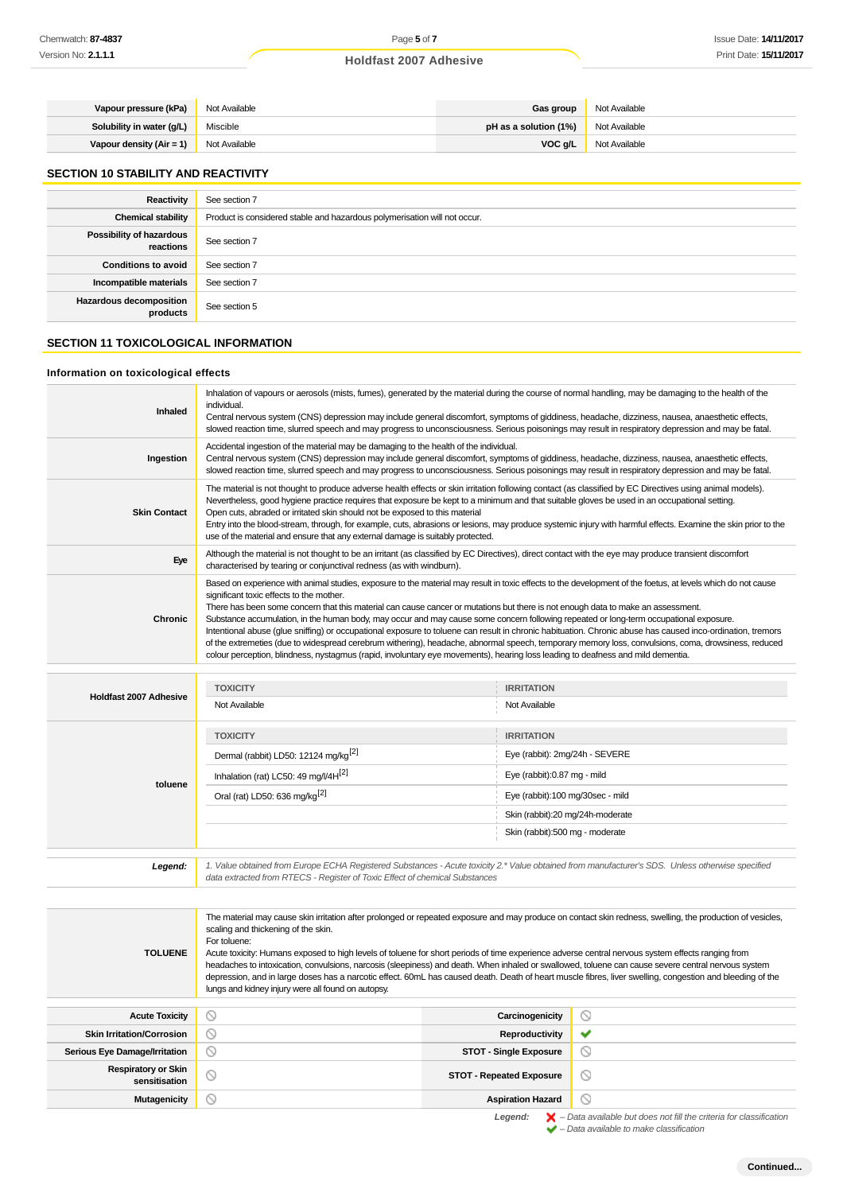# **Holdfast 2007 Adhesive**

| Vapour pressure (kPa)     | Not Available | <b>Gas group</b>      | Not Available |
|---------------------------|---------------|-----------------------|---------------|
| Solubility in water (g/L) | Miscible      | pH as a solution (1%) | Not Available |
| Vapour density (Air = 1)  | Not Available | VOC g/L               | Not Available |

# **SECTION 10 STABILITY AND REACTIVITY**

| Reactivity                                 | See section 7                                                             |
|--------------------------------------------|---------------------------------------------------------------------------|
| <b>Chemical stability</b>                  | Product is considered stable and hazardous polymerisation will not occur. |
| Possibility of hazardous<br>reactions      | See section 7                                                             |
| <b>Conditions to avoid</b>                 | See section 7                                                             |
| Incompatible materials                     | See section 7                                                             |
| <b>Hazardous decomposition</b><br>products | See section 5                                                             |

# **SECTION 11 TOXICOLOGICAL INFORMATION**

### **Information on toxicological effects**

| Chemwatch: <b>87-4837</b>                   | Page 5 of 7                                                                                                                                                                                                                                                                                                                                                                                                                                                                                                                                                                                                                                                                                                                                                                                                                                                                                                                                    |                                  | <b>Issue Date: 14/11/201</b> |  |
|---------------------------------------------|------------------------------------------------------------------------------------------------------------------------------------------------------------------------------------------------------------------------------------------------------------------------------------------------------------------------------------------------------------------------------------------------------------------------------------------------------------------------------------------------------------------------------------------------------------------------------------------------------------------------------------------------------------------------------------------------------------------------------------------------------------------------------------------------------------------------------------------------------------------------------------------------------------------------------------------------|----------------------------------|------------------------------|--|
| Version No: <b>2.1.1.1</b>                  | <b>Holdfast 2007 Adhesive</b>                                                                                                                                                                                                                                                                                                                                                                                                                                                                                                                                                                                                                                                                                                                                                                                                                                                                                                                  |                                  | Print Date: 15/11/201        |  |
|                                             |                                                                                                                                                                                                                                                                                                                                                                                                                                                                                                                                                                                                                                                                                                                                                                                                                                                                                                                                                |                                  |                              |  |
|                                             |                                                                                                                                                                                                                                                                                                                                                                                                                                                                                                                                                                                                                                                                                                                                                                                                                                                                                                                                                |                                  |                              |  |
| Vapour pressure (kPa)                       | Not Available                                                                                                                                                                                                                                                                                                                                                                                                                                                                                                                                                                                                                                                                                                                                                                                                                                                                                                                                  | Gas group                        | Not Available                |  |
| Solubility in water (g/L)                   | Miscible                                                                                                                                                                                                                                                                                                                                                                                                                                                                                                                                                                                                                                                                                                                                                                                                                                                                                                                                       | pH as a solution (1%)            | Not Available                |  |
| Vapour density $(Air = 1)$                  | Not Available                                                                                                                                                                                                                                                                                                                                                                                                                                                                                                                                                                                                                                                                                                                                                                                                                                                                                                                                  | VOC g/L                          | Not Available                |  |
| <b>SECTION 10 STABILITY AND REACTIVITY</b>  |                                                                                                                                                                                                                                                                                                                                                                                                                                                                                                                                                                                                                                                                                                                                                                                                                                                                                                                                                |                                  |                              |  |
| <b>Reactivity</b>                           | See section 7                                                                                                                                                                                                                                                                                                                                                                                                                                                                                                                                                                                                                                                                                                                                                                                                                                                                                                                                  |                                  |                              |  |
| <b>Chemical stability</b>                   | Product is considered stable and hazardous polymerisation will not occur.                                                                                                                                                                                                                                                                                                                                                                                                                                                                                                                                                                                                                                                                                                                                                                                                                                                                      |                                  |                              |  |
| Possibility of hazardous<br>reactions       | See section 7                                                                                                                                                                                                                                                                                                                                                                                                                                                                                                                                                                                                                                                                                                                                                                                                                                                                                                                                  |                                  |                              |  |
| <b>Conditions to avoid</b>                  | See section 7                                                                                                                                                                                                                                                                                                                                                                                                                                                                                                                                                                                                                                                                                                                                                                                                                                                                                                                                  |                                  |                              |  |
| Incompatible materials                      | See section 7                                                                                                                                                                                                                                                                                                                                                                                                                                                                                                                                                                                                                                                                                                                                                                                                                                                                                                                                  |                                  |                              |  |
| <b>Hazardous decomposition</b>              | See section 5                                                                                                                                                                                                                                                                                                                                                                                                                                                                                                                                                                                                                                                                                                                                                                                                                                                                                                                                  |                                  |                              |  |
| products                                    |                                                                                                                                                                                                                                                                                                                                                                                                                                                                                                                                                                                                                                                                                                                                                                                                                                                                                                                                                |                                  |                              |  |
| <b>SECTION 11 TOXICOLOGICAL INFORMATION</b> |                                                                                                                                                                                                                                                                                                                                                                                                                                                                                                                                                                                                                                                                                                                                                                                                                                                                                                                                                |                                  |                              |  |
| Information on toxicological effects        |                                                                                                                                                                                                                                                                                                                                                                                                                                                                                                                                                                                                                                                                                                                                                                                                                                                                                                                                                |                                  |                              |  |
| <b>Inhaled</b>                              | Inhalation of vapours or aerosols (mists, fumes), generated by the material during the course of normal handling, may be damaging to the health of the<br>individual.<br>Central nervous system (CNS) depression may include general discomfort, symptoms of giddiness, headache, dizziness, nausea, anaesthetic effects,<br>slowed reaction time, slurred speech and may progress to unconsciousness. Serious poisonings may result in respiratory depression and may be fatal.                                                                                                                                                                                                                                                                                                                                                                                                                                                               |                                  |                              |  |
| Ingestion                                   | Accidental ingestion of the material may be damaging to the health of the individual.<br>Central nervous system (CNS) depression may include general discomfort, symptoms of giddiness, headache, dizziness, nausea, anaesthetic effects,<br>slowed reaction time, slurred speech and may progress to unconsciousness. Serious poisonings may result in respiratory depression and may be fatal.                                                                                                                                                                                                                                                                                                                                                                                                                                                                                                                                               |                                  |                              |  |
| <b>Skin Contact</b>                         | The material is not thought to produce adverse health effects or skin irritation following contact (as classified by EC Directives using animal models).<br>Nevertheless, good hygiene practice requires that exposure be kept to a minimum and that suitable gloves be used in an occupational setting.<br>Open cuts, abraded or irritated skin should not be exposed to this material<br>Entry into the blood-stream, through, for example, cuts, abrasions or lesions, may produce systemic injury with harmful effects. Examine the skin prior to the<br>use of the material and ensure that any external damage is suitably protected.                                                                                                                                                                                                                                                                                                    |                                  |                              |  |
| Eye                                         | Although the material is not thought to be an irritant (as classified by EC Directives), direct contact with the eye may produce transient discomfort<br>characterised by tearing or conjunctival redness (as with windburn).                                                                                                                                                                                                                                                                                                                                                                                                                                                                                                                                                                                                                                                                                                                  |                                  |                              |  |
| <b>Chronic</b>                              | Based on experience with animal studies, exposure to the material may result in toxic effects to the development of the foetus, at levels which do not cause<br>significant toxic effects to the mother.<br>There has been some concern that this material can cause cancer or mutations but there is not enough data to make an assessment.<br>Substance accumulation, in the human body, may occur and may cause some concern following repeated or long-term occupational exposure.<br>Intentional abuse (glue sniffing) or occupational exposure to toluene can result in chronic habituation. Chronic abuse has caused inco-ordination, tremors<br>of the extremeties (due to widespread cerebrum withering), headache, abnormal speech, temporary memory loss, convulsions, coma, drowsiness, reduced<br>colour perception, blindness, nystagmus (rapid, involuntary eye movements), hearing loss leading to deafness and mild dementia. |                                  |                              |  |
|                                             |                                                                                                                                                                                                                                                                                                                                                                                                                                                                                                                                                                                                                                                                                                                                                                                                                                                                                                                                                |                                  |                              |  |
| Holdfast 2007 Adhesive                      | <b>TOXICITY</b>                                                                                                                                                                                                                                                                                                                                                                                                                                                                                                                                                                                                                                                                                                                                                                                                                                                                                                                                | <b>IRRITATION</b>                |                              |  |
|                                             | Not Available                                                                                                                                                                                                                                                                                                                                                                                                                                                                                                                                                                                                                                                                                                                                                                                                                                                                                                                                  | Not Available                    |                              |  |
|                                             | <b>TOXICITY</b>                                                                                                                                                                                                                                                                                                                                                                                                                                                                                                                                                                                                                                                                                                                                                                                                                                                                                                                                | <b>IRRITATION</b>                |                              |  |
|                                             | Dermal (rabbit) LD50: 12124 mg/kg <sup>[2]</sup>                                                                                                                                                                                                                                                                                                                                                                                                                                                                                                                                                                                                                                                                                                                                                                                                                                                                                               | Eye (rabbit): 2mg/24h - SEVERE   |                              |  |
|                                             | Inhalation (rat) LC50: 49 mg/l/4H <sup>[2]</sup>                                                                                                                                                                                                                                                                                                                                                                                                                                                                                                                                                                                                                                                                                                                                                                                                                                                                                               | Eye (rabbit):0.87 mg - mild      |                              |  |
| toluene                                     |                                                                                                                                                                                                                                                                                                                                                                                                                                                                                                                                                                                                                                                                                                                                                                                                                                                                                                                                                |                                  |                              |  |
|                                             | Oral (rat) LD50: 636 mg/kg <sup>[2]</sup>                                                                                                                                                                                                                                                                                                                                                                                                                                                                                                                                                                                                                                                                                                                                                                                                                                                                                                      | Eye (rabbit):100 mg/30sec - mild |                              |  |
|                                             | Skin (rabbit):20 mg/24h-moderate<br>Skin (rabbit):500 mg - moderate                                                                                                                                                                                                                                                                                                                                                                                                                                                                                                                                                                                                                                                                                                                                                                                                                                                                            |                                  |                              |  |
| Legend:                                     | 1. Value obtained from Europe ECHA Registered Substances - Acute toxicity 2.* Value obtained from manufacturer's SDS. Unless otherwise specified<br>data extracted from RTECS - Register of Toxic Effect of chemical Substances                                                                                                                                                                                                                                                                                                                                                                                                                                                                                                                                                                                                                                                                                                                |                                  |                              |  |
|                                             |                                                                                                                                                                                                                                                                                                                                                                                                                                                                                                                                                                                                                                                                                                                                                                                                                                                                                                                                                |                                  |                              |  |
| <b>TOLUENE</b>                              | The material may cause skin irritation after prolonged or repeated exposure and may produce on contact skin redness, swelling, the production of vesicles,<br>scaling and thickening of the skin.<br>For toluene:<br>Acute toxicity: Humans exposed to high levels of toluene for short periods of time experience adverse central nervous system effects ranging from<br>headaches to intoxication, convulsions, narcosis (sleepiness) and death. When inhaled or swallowed, toluene can cause severe central nervous system<br>depression, and in large doses has a narcotic effect. 60mL has caused death. Death of heart muscle fibres, liver swelling, congestion and bleeding of the<br>lungs and kidney injury were all found on autopsy.                                                                                                                                                                                               |                                  |                              |  |
| <b>Acute Toxicity</b>                       | $\circledcirc$                                                                                                                                                                                                                                                                                                                                                                                                                                                                                                                                                                                                                                                                                                                                                                                                                                                                                                                                 | Carcinogenicity                  | ◎                            |  |
| <b>Skin Irritation/Corrosion</b>            | ◎                                                                                                                                                                                                                                                                                                                                                                                                                                                                                                                                                                                                                                                                                                                                                                                                                                                                                                                                              | Reproductivity                   | ✔                            |  |
| <b>Serious Eye Damage/Irritation</b>        | $\circledcirc$                                                                                                                                                                                                                                                                                                                                                                                                                                                                                                                                                                                                                                                                                                                                                                                                                                                                                                                                 | <b>STOT - Single Exposure</b>    | ◎                            |  |
| <b>Respiratory or Skin</b><br>sensitisation | $\odot$                                                                                                                                                                                                                                                                                                                                                                                                                                                                                                                                                                                                                                                                                                                                                                                                                                                                                                                                        | <b>STOT - Repeated Exposure</b>  | ◎                            |  |
| <b>Mutagenicity</b>                         |                                                                                                                                                                                                                                                                                                                                                                                                                                                                                                                                                                                                                                                                                                                                                                                                                                                                                                                                                | <b>Aspiration Hazard</b>         |                              |  |

|                               | <b>TOXICITY</b>                                                                                                                                                                                                                 | <b>IRRITATION</b>                |
|-------------------------------|---------------------------------------------------------------------------------------------------------------------------------------------------------------------------------------------------------------------------------|----------------------------------|
| <b>Holdfast 2007 Adhesive</b> | Not Available                                                                                                                                                                                                                   | Not Available                    |
| toluene                       | <b>TOXICITY</b>                                                                                                                                                                                                                 | <b>IRRITATION</b>                |
|                               | Dermal (rabbit) LD50: 12124 mg/kg <sup>[2]</sup>                                                                                                                                                                                | Eye (rabbit): 2mg/24h - SEVERE   |
|                               | Inhalation (rat) LC50: 49 mg/l/4 $H[2]$                                                                                                                                                                                         | Eye (rabbit):0.87 mg - mild      |
|                               | Oral (rat) LD50: 636 mg/kg <sup>[2]</sup>                                                                                                                                                                                       | Eye (rabbit):100 mg/30sec - mild |
|                               |                                                                                                                                                                                                                                 | Skin (rabbit):20 mg/24h-moderate |
|                               |                                                                                                                                                                                                                                 | Skin (rabbit):500 mg - moderate  |
|                               |                                                                                                                                                                                                                                 |                                  |
| Legend:                       | 1. Value obtained from Europe ECHA Registered Substances - Acute toxicity 2.* Value obtained from manufacturer's SDS. Unless otherwise specified<br>data extracted from RTECS - Register of Toxic Effect of chemical Substances |                                  |

| <b>TOLUENE</b>                              | The material may cause skin irritation after prolonged or repeated exposure and may produce on contact skin redness, swelling, the production of vesicles,<br>scaling and thickening of the skin.<br>For toluene:<br>Acute toxicity: Humans exposed to high levels of toluene for short periods of time experience adverse central nervous system effects ranging from<br>headaches to intoxication, convulsions, narcosis (sleepiness) and death. When inhaled or swallowed, toluene can cause severe central nervous system<br>depression, and in large doses has a narcotic effect. 60mL has caused death. Death of heart muscle fibres, liver swelling, congestion and bleeding of the<br>lungs and kidney injury were all found on autopsy. |                                 |         |
|---------------------------------------------|--------------------------------------------------------------------------------------------------------------------------------------------------------------------------------------------------------------------------------------------------------------------------------------------------------------------------------------------------------------------------------------------------------------------------------------------------------------------------------------------------------------------------------------------------------------------------------------------------------------------------------------------------------------------------------------------------------------------------------------------------|---------------------------------|---------|
|                                             |                                                                                                                                                                                                                                                                                                                                                                                                                                                                                                                                                                                                                                                                                                                                                  |                                 |         |
| <b>Acute Toxicity</b>                       | N                                                                                                                                                                                                                                                                                                                                                                                                                                                                                                                                                                                                                                                                                                                                                | Carcinogenicity                 | $\sim$  |
| <b>Skin Irritation/Corrosion</b>            | $\sim$                                                                                                                                                                                                                                                                                                                                                                                                                                                                                                                                                                                                                                                                                                                                           | Reproductivity                  | ັ       |
| <b>Serious Eye Damage/Irritation</b>        | $\scriptstyle\sim$                                                                                                                                                                                                                                                                                                                                                                                                                                                                                                                                                                                                                                                                                                                               | <b>STOT - Single Exposure</b>   | $\circ$ |
| <b>Respiratory or Skin</b><br>sensitisation | ര                                                                                                                                                                                                                                                                                                                                                                                                                                                                                                                                                                                                                                                                                                                                                | <b>STOT - Repeated Exposure</b> | $\circ$ |
|                                             |                                                                                                                                                                                                                                                                                                                                                                                                                                                                                                                                                                                                                                                                                                                                                  |                                 |         |

Legend:  $\blacktriangleright$  - Data available but does not fill the criteria for classification<br>  $\blacktriangleright$  - Data available to make classification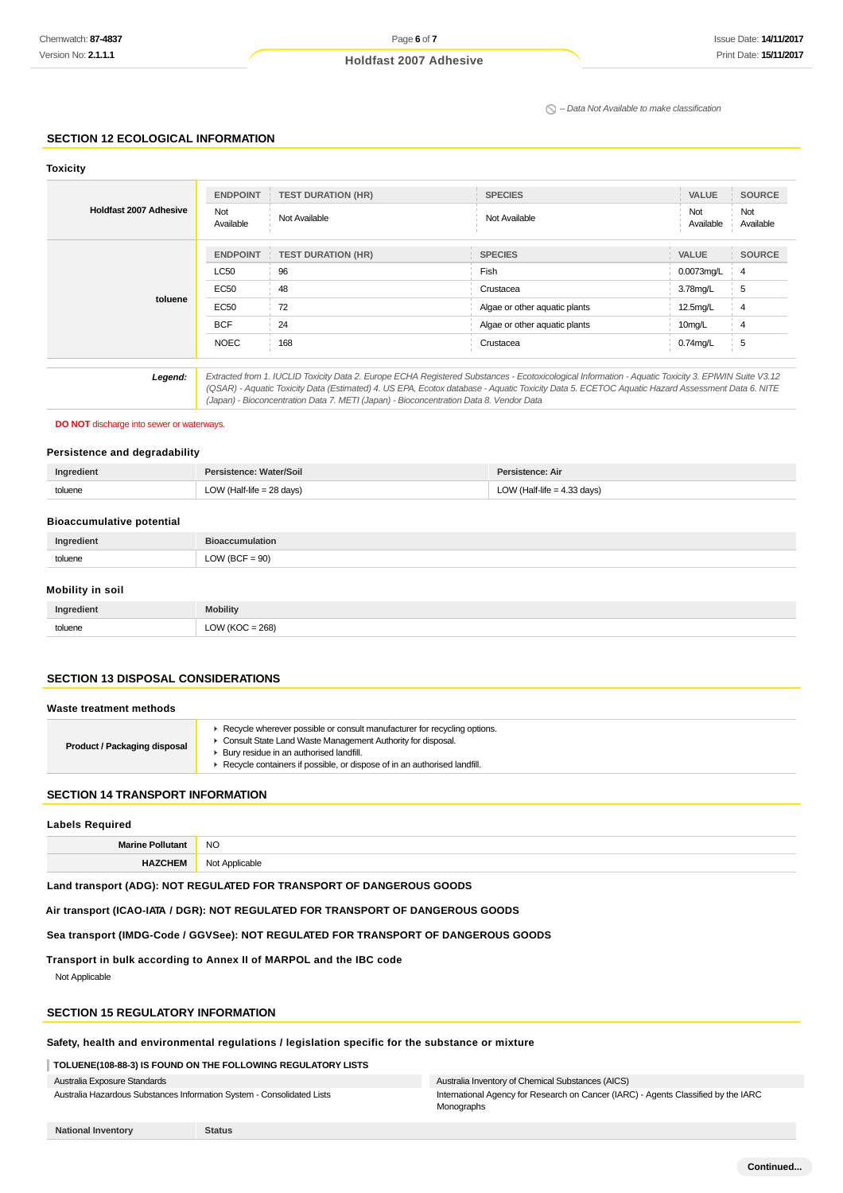# **Holdfast 2007 Adhesive**

 $\Omega$  – Data Not Available to make classification

### **SECTION 12 ECOLOGICAL INFORMATION**

| <b>Toxicity</b>               |                  |                                                                                        |                                                                                                                                                     |                  |                  |
|-------------------------------|------------------|----------------------------------------------------------------------------------------|-----------------------------------------------------------------------------------------------------------------------------------------------------|------------------|------------------|
|                               | <b>ENDPOINT</b>  | <b>TEST DURATION (HR)</b>                                                              | <b>SPECIES</b>                                                                                                                                      | <b>VALUE</b>     | <b>SOURCE</b>    |
| <b>Holdfast 2007 Adhesive</b> | Not<br>Available | Not Available                                                                          | Not Available                                                                                                                                       | Not<br>Available | Not<br>Available |
|                               | <b>ENDPOINT</b>  | <b>TEST DURATION (HR)</b>                                                              | <b>SPECIES</b>                                                                                                                                      | <b>VALUE</b>     | <b>SOURCE</b>    |
|                               | <b>LC50</b>      | 96                                                                                     | Fish                                                                                                                                                | 0.0073mg/L       | -4               |
|                               | EC50             | 48                                                                                     | Crustacea                                                                                                                                           | 3.78mg/L         | 5                |
| toluene                       | EC50             | 72                                                                                     | Algae or other aquatic plants                                                                                                                       | 12.5mg/L         | $\overline{4}$   |
|                               | <b>BCF</b>       | 24                                                                                     | Algae or other aquatic plants                                                                                                                       | 10mg/L           | 4                |
|                               | <b>NOEC</b>      | 168                                                                                    | Crustacea                                                                                                                                           | $0.74$ mg/L      | 5                |
| Legend:                       |                  |                                                                                        | Extracted from 1. IUCLID Toxicity Data 2. Europe ECHA Registered Substances - Ecotoxicological Information - Aquatic Toxicity 3. EPIWIN Suite V3.12 |                  |                  |
|                               |                  | (Japan) - Bioconcentration Data 7. METI (Japan) - Bioconcentration Data 8. Vendor Data | (QSAR) - Aquatic Toxicity Data (Estimated) 4. US EPA, Ecotox database - Aquatic Toxicity Data 5. ECETOC Aquatic Hazard Assessment Data 6. NITE      |                  |                  |

### **DO NOT** discharge into sewer or waterways.

### **Persistence and degradability**

| Ingredient | Persistence: Water/Soil   | Persistence: Air              |
|------------|---------------------------|-------------------------------|
| toluene    | LOW (Half-life = 28 days) | LOW (Half-life = $4.33$ days) |

### **Bioaccumulative potential**

| toli iani       | $\sim$ |
|-----------------|--------|
| <b>COLOGITY</b> | $\sim$ |

### **Mobility in soil**

| Ingredient | <b>Mobility</b>     |
|------------|---------------------|
| toluene    | LOW ( $KOC = 268$ ) |

### **SECTION 13 DISPOSAL CONSIDERATIONS**

### **Waste treatment methods**

| Product / Packaging disposal | Recycle wherever possible or consult manufacturer for recycling options.<br>Consult State Land Waste Management Authority for disposal.<br>Bury residue in an authorised landfill.<br>Recycle containers if possible, or dispose of in an authorised landfill. |
|------------------------------|----------------------------------------------------------------------------------------------------------------------------------------------------------------------------------------------------------------------------------------------------------------|
|------------------------------|----------------------------------------------------------------------------------------------------------------------------------------------------------------------------------------------------------------------------------------------------------------|

### **SECTION 14 TRANSPORT INFORMATION**

# **Labels Required**

| Mo.<br>an | <b>NO</b> |
|-----------|-----------|
|           | v         |

**Land transport (ADG): NOT REGULATED FOR TRANSPORT OF DANGEROUS GOODS**

**Air transport (ICAO-IATA / DGR): NOT REGULATED FOR TRANSPORT OF DANGEROUS GOODS**

**Sea transport (IMDG-Code / GGVSee): NOT REGULATED FOR TRANSPORT OF DANGEROUS GOODS**

**Transport in bulk according to Annex II of MARPOL and the IBC code**

Not Applicable

# **SECTION 15 REGULATORY INFORMATION**

# **Safety, health and environmental regulations / legislation specific for the substance or mixture**

**TOLUENE(108-88-3) IS FOUND ON THE FOLLOWING REGULATORY LISTS**

Australia Exposure Standards Australia Hazardous Substances Information System - Consolidated Lists

### Australia Inventory of Chemical Substances (AICS)

International Agency for Research on Cancer (IARC) - Agents Classified by the IARC Monographs

**National Inventory Status**